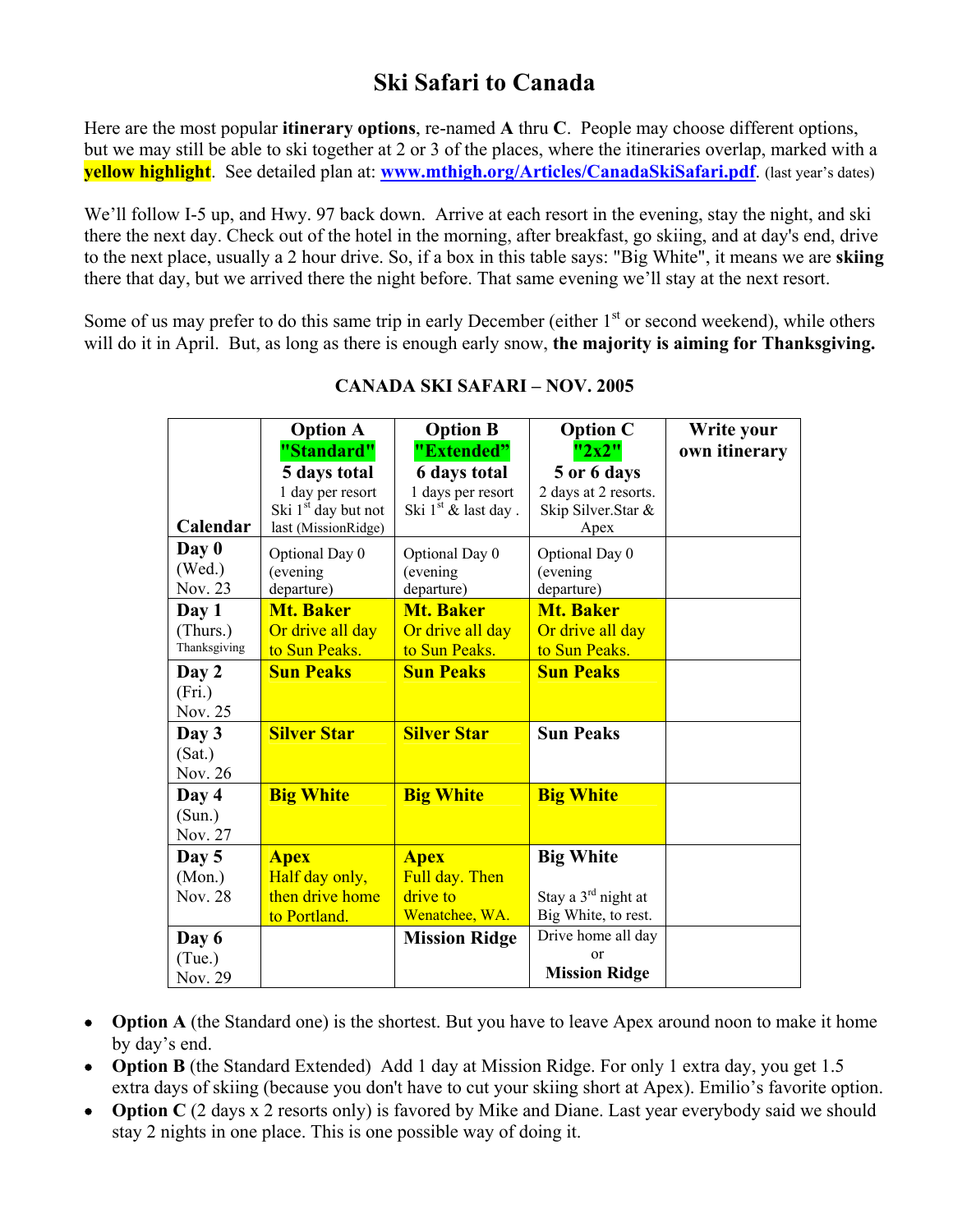## **Ski Safari to Canada**

Here are the most popular **itinerary options**, re-named **A** thru **C**. People may choose different options, but we may still be able to ski together at 2 or 3 of the places, where the itineraries overlap, marked with a **yellow highlight**. See detailed plan at: **www.mthigh.org/Articles/CanadaSkiSafari.pdf**. (last year's dates)

We'll follow I-5 up, and Hwy. 97 back down. Arrive at each resort in the evening, stay the night, and ski there the next day. Check out of the hotel in the morning, after breakfast, go skiing, and at day's end, drive to the next place, usually a 2 hour drive. So, if a box in this table says: "Big White", it means we are **skiing** there that day, but we arrived there the night before. That same evening we'll stay at the next resort.

Some of us may prefer to do this same trip in early December (either  $1<sup>st</sup>$  or second weekend), while others will do it in April. But, as long as there is enough early snow, **the majority is aiming for Thanksgiving.**

|                                   | <b>Option A</b>                                                                                          | <b>Option B</b>                                                                 | <b>Option C</b>                                                            | Write your    |
|-----------------------------------|----------------------------------------------------------------------------------------------------------|---------------------------------------------------------------------------------|----------------------------------------------------------------------------|---------------|
| Calendar                          | "Standard"<br>5 days total<br>1 day per resort<br>Ski 1 <sup>st</sup> day but not<br>last (MissionRidge) | "Extended"<br><b>6 days total</b><br>1 days per resort<br>Ski $1st$ & last day. | "2x2"<br>5 or 6 days<br>2 days at 2 resorts.<br>Skip Silver.Star &<br>Apex | own itinerary |
| Day 0<br>(Wed.)<br>Nov. 23        | Optional Day 0<br>(evening<br>departure)                                                                 | Optional Day 0<br>(evening<br>departure)                                        | Optional Day 0<br>(evening<br>departure)                                   |               |
| Day 1<br>(Thurs.)<br>Thanksgiving | <b>Mt. Baker</b><br>Or drive all day<br>to Sun Peaks.                                                    | <b>Mt. Baker</b><br>Or drive all day<br>to Sun Peaks.                           | <b>Mt. Baker</b><br>Or drive all day<br>to Sun Peaks.                      |               |
| Day 2<br>(Fri.)<br>Nov. 25        | <b>Sun Peaks</b>                                                                                         | <b>Sun Peaks</b>                                                                | <b>Sun Peaks</b>                                                           |               |
| Day 3<br>(Sat.)<br>Nov. 26        | <b>Silver Star</b>                                                                                       | <b>Silver Star</b>                                                              | <b>Sun Peaks</b>                                                           |               |
| Day 4<br>(Sun.)<br>Nov. 27        | <b>Big White</b>                                                                                         | <b>Big White</b>                                                                | <b>Big White</b>                                                           |               |
| Day 5<br>(Mon.)<br><b>Nov. 28</b> | <b>Apex</b><br>Half day only,<br>then drive home<br>to Portland.                                         | <b>Apex</b><br>Full day. Then<br>drive to<br>Wenatchee, WA.                     | <b>Big White</b><br>Stay a $3rd$ night at<br>Big White, to rest.           |               |
| Day 6<br>(Tue.)<br>Nov. 29        |                                                                                                          | <b>Mission Ridge</b>                                                            | Drive home all day<br>$\alpha$<br><b>Mission Ridge</b>                     |               |

## **CANADA SKI SAFARI – NOV. 2005**

- **Option A** (the Standard one) is the shortest. But you have to leave Apex around noon to make it home by day's end.
- **Option B** (the Standard Extended) Add 1 day at Mission Ridge. For only 1 extra day, you get 1.5 extra days of skiing (because you don't have to cut your skiing short at Apex). Emilio's favorite option.
- **Option C** (2 days x 2 resorts only) is favored by Mike and Diane. Last year everybody said we should stay 2 nights in one place. This is one possible way of doing it.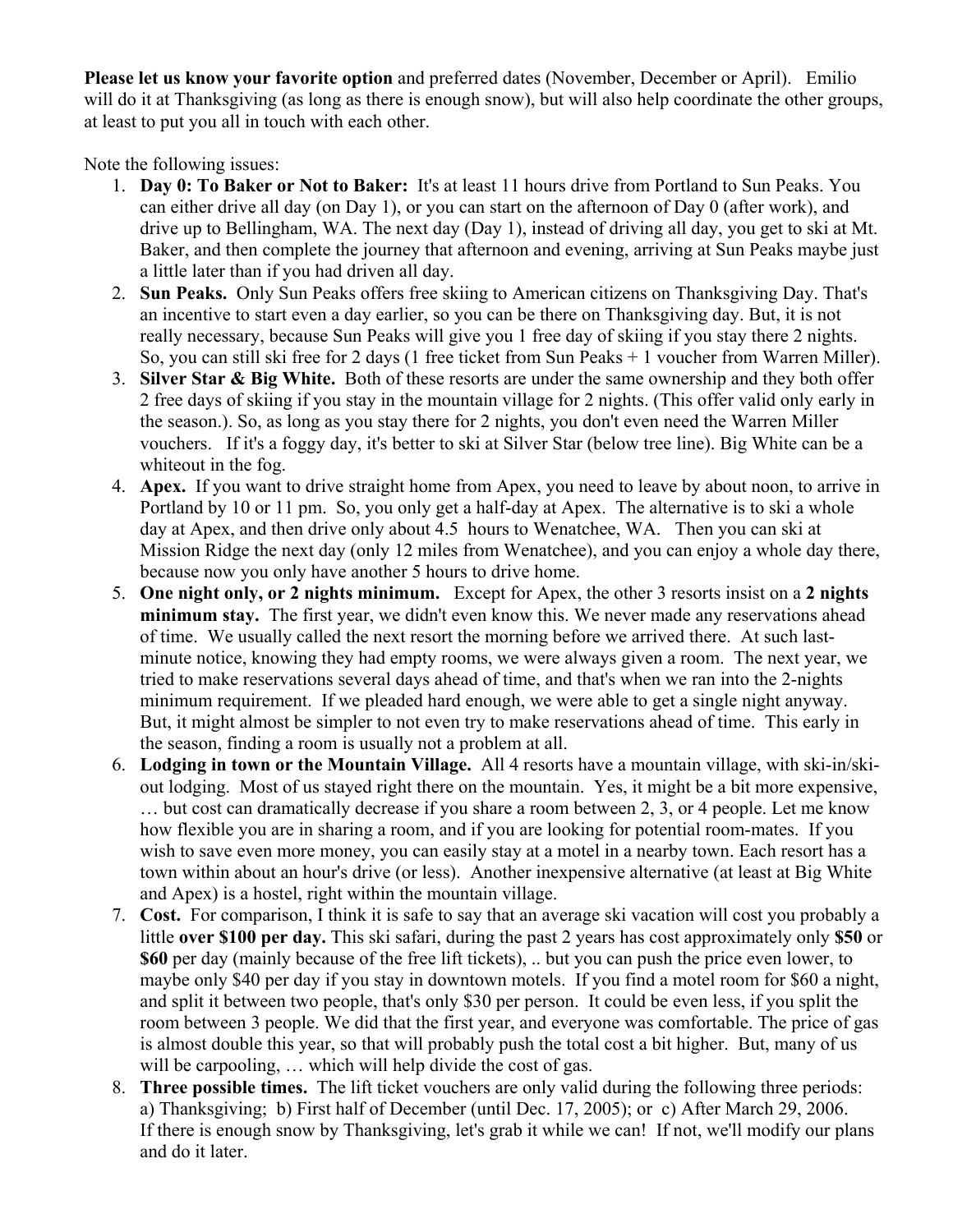**Please let us know your favorite option** and preferred dates (November, December or April). Emilio will do it at Thanksgiving (as long as there is enough snow), but will also help coordinate the other groups, at least to put you all in touch with each other.

Note the following issues:

- 1. **Day 0: To Baker or Not to Baker:** It's at least 11 hours drive from Portland to Sun Peaks. You can either drive all day (on Day 1), or you can start on the afternoon of Day 0 (after work), and drive up to Bellingham, WA. The next day (Day 1), instead of driving all day, you get to ski at Mt. Baker, and then complete the journey that afternoon and evening, arriving at Sun Peaks maybe just a little later than if you had driven all day.
- 2. **Sun Peaks.** Only Sun Peaks offers free skiing to American citizens on Thanksgiving Day. That's an incentive to start even a day earlier, so you can be there on Thanksgiving day. But, it is not really necessary, because Sun Peaks will give you 1 free day of skiing if you stay there 2 nights. So, you can still ski free for 2 days (1 free ticket from Sun Peaks + 1 voucher from Warren Miller).
- 3. **Silver Star & Big White.** Both of these resorts are under the same ownership and they both offer 2 free days of skiing if you stay in the mountain village for 2 nights. (This offer valid only early in the season.). So, as long as you stay there for 2 nights, you don't even need the Warren Miller vouchers. If it's a foggy day, it's better to ski at Silver Star (below tree line). Big White can be a whiteout in the fog.
- 4. **Apex.** If you want to drive straight home from Apex, you need to leave by about noon, to arrive in Portland by 10 or 11 pm. So, you only get a half-day at Apex. The alternative is to ski a whole day at Apex, and then drive only about 4.5 hours to Wenatchee, WA. Then you can ski at Mission Ridge the next day (only 12 miles from Wenatchee), and you can enjoy a whole day there, because now you only have another 5 hours to drive home.
- 5. **One night only, or 2 nights minimum.** Except for Apex, the other 3 resorts insist on a **2 nights minimum stay.** The first year, we didn't even know this. We never made any reservations ahead of time. We usually called the next resort the morning before we arrived there. At such lastminute notice, knowing they had empty rooms, we were always given a room. The next year, we tried to make reservations several days ahead of time, and that's when we ran into the 2-nights minimum requirement. If we pleaded hard enough, we were able to get a single night anyway. But, it might almost be simpler to not even try to make reservations ahead of time. This early in the season, finding a room is usually not a problem at all.
- 6. **Lodging in town or the Mountain Village.** All 4 resorts have a mountain village, with ski-in/skiout lodging. Most of us stayed right there on the mountain. Yes, it might be a bit more expensive, … but cost can dramatically decrease if you share a room between 2, 3, or 4 people. Let me know how flexible you are in sharing a room, and if you are looking for potential room-mates. If you wish to save even more money, you can easily stay at a motel in a nearby town. Each resort has a town within about an hour's drive (or less). Another inexpensive alternative (at least at Big White and Apex) is a hostel, right within the mountain village.
- 7. **Cost.** For comparison, I think it is safe to say that an average ski vacation will cost you probably a little **over \$100 per day.** This ski safari, during the past 2 years has cost approximately only **\$50** or **\$60** per day (mainly because of the free lift tickets), .. but you can push the price even lower, to maybe only \$40 per day if you stay in downtown motels. If you find a motel room for \$60 a night, and split it between two people, that's only \$30 per person. It could be even less, if you split the room between 3 people. We did that the first year, and everyone was comfortable. The price of gas is almost double this year, so that will probably push the total cost a bit higher. But, many of us will be carpooling, ... which will help divide the cost of gas.
- 8. **Three possible times.** The lift ticket vouchers are only valid during the following three periods: a) Thanksgiving; b) First half of December (until Dec. 17, 2005); or c) After March 29, 2006. If there is enough snow by Thanksgiving, let's grab it while we can! If not, we'll modify our plans and do it later.